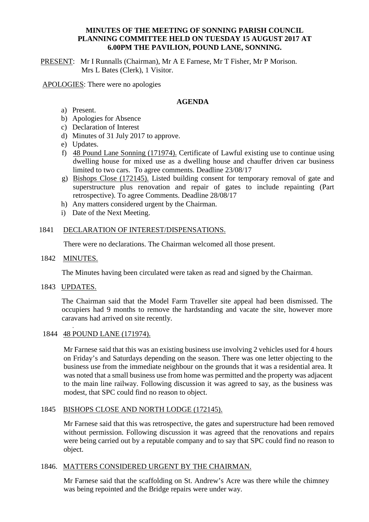## **MINUTES OF THE MEETING OF SONNING PARISH COUNCIL PLANNING COMMITTEE HELD ON TUESDAY 15 AUGUST 2017 AT 6.00PM THE PAVILION, POUND LANE, SONNING.**

PRESENT: Mr I Runnalls (Chairman), Mr A E Farnese, Mr T Fisher, Mr P Morison. Mrs L Bates (Clerk), 1 Visitor.

APOLOGIES: There were no apologies

## **AGENDA**

- a) Present.
- b) Apologies for Absence
- c) Declaration of Interest
- d) Minutes of 31 July 2017 to approve.
- e) Updates.
- f) 48 Pound Lane Sonning (171974). Certificate of Lawful existing use to continue using dwelling house for mixed use as a dwelling house and chauffer driven car business limited to two cars. To agree comments. Deadline 23/08/17
- g) Bishops Close (172145). Listed building consent for temporary removal of gate and superstructure plus renovation and repair of gates to include repainting (Part retrospective). To agree Comments. Deadline 28/08/17
- h) Any matters considered urgent by the Chairman.
- i) Date of the Next Meeting.

#### 1841 DECLARATION OF INTEREST/DISPENSATIONS.

There were no declarations. The Chairman welcomed all those present.

#### 1842 MINUTES.

The Minutes having been circulated were taken as read and signed by the Chairman.

1843 UPDATES.

The Chairman said that the Model Farm Traveller site appeal had been dismissed. The occupiers had 9 months to remove the hardstanding and vacate the site, however more caravans had arrived on site recently. .

1844 48 POUND LANE (171974).

Mr Farnese said that this was an existing business use involving 2 vehicles used for 4 hours on Friday's and Saturdays depending on the season. There was one letter objecting to the business use from the immediate neighbour on the grounds that it was a residential area. It was noted that a small business use from home was permitted and the property was adjacent to the main line railway. Following discussion it was agreed to say, as the business was modest, that SPC could find no reason to object.

# 1845 BISHOPS CLOSE AND NORTH LODGE (172145).

Mr Farnese said that this was retrospective, the gates and superstructure had been removed without permission. Following discussion it was agreed that the renovations and repairs were being carried out by a reputable company and to say that SPC could find no reason to object.

#### 1846. MATTERS CONSIDERED URGENT BY THE CHAIRMAN.

Mr Farnese said that the scaffolding on St. Andrew's Acre was there while the chimney was being repointed and the Bridge repairs were under way.